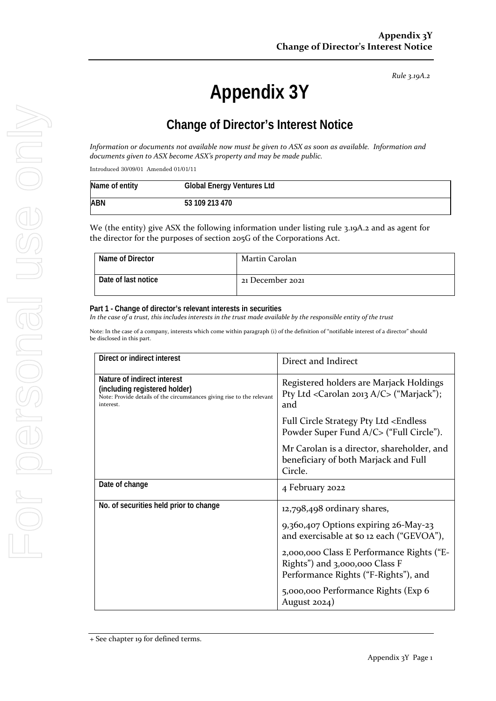*Rule 3.19A.2*

# **Appendix 3Y**

# **Change of Director's Interest Notice**

*Information or documents not available now must be given to ASX as soon as available. Information and documents given to ASX become ASX's property and may be made public.*

Introduced 30/09/01 Amended 01/01/11

| Name of entity | <b>Global Energy Ventures Ltd</b> |  |
|----------------|-----------------------------------|--|
| ABN            | 53 109 213 470                    |  |

We (the entity) give ASX the following information under listing rule 3.19A.2 and as agent for the director for the purposes of section 205G of the Corporations Act.

| Name of Director    | Martin Carolan   |
|---------------------|------------------|
| Date of last notice | 21 December 2021 |

#### **Part 1 - Change of director's relevant interests in securities**

*In the case of a trust, this includes interests in the trust made available by the responsible entity of the trust*

Note: In the case of a company, interests which come within paragraph (i) of the definition of "notifiable interest of a director" should be disclosed in this part.

| Direct or indirect interest                                                                                                                         | Direct and Indirect                                                                                                                                                                                                                                                              |
|-----------------------------------------------------------------------------------------------------------------------------------------------------|----------------------------------------------------------------------------------------------------------------------------------------------------------------------------------------------------------------------------------------------------------------------------------|
| Nature of indirect interest<br>(including registered holder)<br>Note: Provide details of the circumstances giving rise to the relevant<br>interest. | Registered holders are Marjack Holdings<br>Pty Ltd < Carolan 2013 $A/C$ ("Marjack");<br>and                                                                                                                                                                                      |
|                                                                                                                                                     | Full Circle Strategy Pty Ltd <endless<br>Powder Super Fund A/C&gt; ("Full Circle").</endless<br>                                                                                                                                                                                 |
|                                                                                                                                                     | Mr Carolan is a director, shareholder, and<br>beneficiary of both Marjack and Full<br>Circle.                                                                                                                                                                                    |
| Date of change                                                                                                                                      | 4 February 2022                                                                                                                                                                                                                                                                  |
| No. of securities held prior to change                                                                                                              | $12,798,498$ ordinary shares,<br>9,360,407 Options expiring 26-May-23<br>and exercisable at \$0 12 each ("GEVOA"),<br>2,000,000 Class E Performance Rights ("E-<br>Rights") and 3,000,000 Class F<br>Performance Rights ("F-Rights"), and<br>5,000,000 Performance Rights (Exp 6 |
|                                                                                                                                                     | August $2024$ )                                                                                                                                                                                                                                                                  |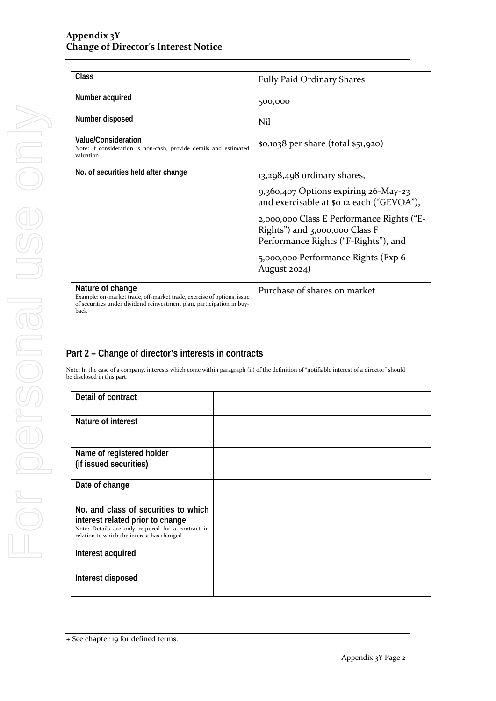| Class                                                                                                                                                                       | <b>Fully Paid Ordinary Shares</b>                                                                                   |  |
|-----------------------------------------------------------------------------------------------------------------------------------------------------------------------------|---------------------------------------------------------------------------------------------------------------------|--|
| Number acquired                                                                                                                                                             | 500,000                                                                                                             |  |
| Number disposed                                                                                                                                                             | Nil                                                                                                                 |  |
| Value/Consideration<br>Note: If consideration is non-cash, provide details and estimated<br>valuation                                                                       | \$0.1038 per share (total \$51,920)                                                                                 |  |
| No. of securities held after change                                                                                                                                         | 13,298,498 ordinary shares,                                                                                         |  |
|                                                                                                                                                                             | 9,360,407 Options expiring 26-May-23<br>and exercisable at \$0 12 each ("GEVOA"),                                   |  |
|                                                                                                                                                                             | 2,000,000 Class E Performance Rights ("E-<br>Rights") and 3,000,000 Class F<br>Performance Rights ("F-Rights"), and |  |
|                                                                                                                                                                             | 5,000,000 Performance Rights (Exp 6<br>August $2024$ )                                                              |  |
| Nature of change<br>Example: on-market trade, off-market trade, exercise of options, issue<br>of securities under dividend reinvestment plan, participation in buy-<br>back | Purchase of shares on market                                                                                        |  |

## **Part 2 – Change of director's interests in contracts**

Note: In the case of a company, interests which come within paragraph (ii) of the definition of "notifiable interest of a director" should be disclosed in this part.

| Detail of contract                                                                                                                  |  |
|-------------------------------------------------------------------------------------------------------------------------------------|--|
| Nature of interest                                                                                                                  |  |
| Name of registered holder<br>(if issued securities)                                                                                 |  |
| Date of change                                                                                                                      |  |
| No. and class of securities to which                                                                                                |  |
| interest related prior to change<br>Note: Details are only required for a contract in<br>relation to which the interest has changed |  |
| Interest acquired                                                                                                                   |  |
| Interest disposed                                                                                                                   |  |

<sup>+</sup> See chapter 19 for defined terms.